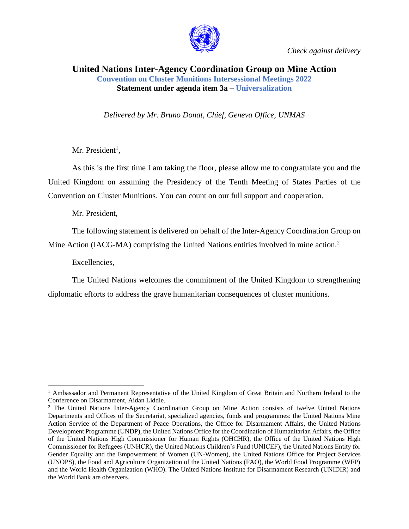

*Check against delivery*

## **United Nations Inter-Agency Coordination Group on Mine Action Convention on Cluster Munitions Intersessional Meetings 2022 Statement under agenda item 3a – Universalization**

*Delivered by Mr. Bruno Donat, Chief, Geneva Office, UNMAS*

Mr. President<sup>1</sup>,

As this is the first time I am taking the floor, please allow me to congratulate you and the United Kingdom on assuming the Presidency of the Tenth Meeting of States Parties of the Convention on Cluster Munitions. You can count on our full support and cooperation.

Mr. President,

The following statement is delivered on behalf of the Inter-Agency Coordination Group on Mine Action (IACG-MA) comprising the United Nations entities involved in mine action.<sup>2</sup>

Excellencies,

The United Nations welcomes the commitment of the United Kingdom to strengthening diplomatic efforts to address the grave humanitarian consequences of cluster munitions.

<sup>&</sup>lt;sup>1</sup> Ambassador and Permanent Representative of the United Kingdom of Great Britain and Northern Ireland to the Conference on Disarmament, Aidan Liddle.

<sup>2</sup> The United Nations Inter-Agency Coordination Group on Mine Action consists of twelve United Nations Departments and Offices of the Secretariat, specialized agencies, funds and programmes: the United Nations Mine Action Service of the Department of Peace Operations, the Office for Disarmament Affairs, the United Nations Development Programme (UNDP), the United Nations Office for the Coordination of Humanitarian Affairs, the Office of the United Nations High Commissioner for Human Rights (OHCHR), the Office of the United Nations High Commissioner for Refugees (UNHCR), the United Nations Children's Fund (UNICEF), the United Nations Entity for Gender Equality and the Empowerment of Women (UN-Women), the United Nations Office for Project Services (UNOPS), the Food and Agriculture Organization of the United Nations (FAO), the World Food Programme (WFP) and the World Health Organization (WHO). The United Nations Institute for Disarmament Research (UNIDIR) and the World Bank are observers.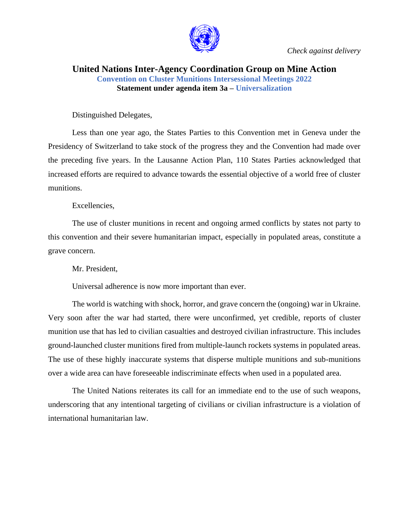

*Check against delivery*

## **United Nations Inter-Agency Coordination Group on Mine Action Convention on Cluster Munitions Intersessional Meetings 2022 Statement under agenda item 3a – Universalization**

Distinguished Delegates,

Less than one year ago, the States Parties to this Convention met in Geneva under the Presidency of Switzerland to take stock of the progress they and the Convention had made over the preceding five years. In the Lausanne Action Plan, 110 States Parties acknowledged that increased efforts are required to advance towards the essential objective of a world free of cluster munitions.

Excellencies,

The use of cluster munitions in recent and ongoing armed conflicts by states not party to this convention and their severe humanitarian impact, especially in populated areas, constitute a grave concern.

Mr. President,

Universal adherence is now more important than ever.

The world is watching with shock, horror, and grave concern the (ongoing) war in Ukraine. Very soon after the war had started, there were unconfirmed, yet credible, reports of cluster munition use that has led to civilian casualties and destroyed civilian infrastructure. This includes ground-launched cluster munitions fired from multiple-launch rockets systems in populated areas. The use of these highly inaccurate systems that disperse multiple munitions and sub-munitions over a wide area can have foreseeable indiscriminate effects when used in a populated area.

The United Nations reiterates its call for an immediate end to the use of such weapons, underscoring that any intentional targeting of civilians or civilian infrastructure is a violation of international humanitarian law.